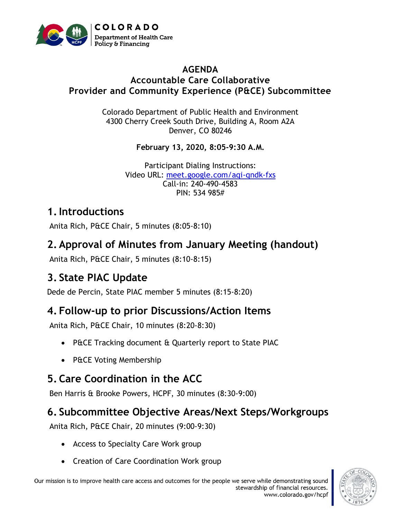

#### **AGENDA Accountable Care Collaborative Provider and Community Experience (P&CE) Subcommittee**

Colorado Department of Public Health and Environment 4300 Cherry Creek South Drive, Building A, Room A2A Denver, CO 80246

**February 13, 2020, 8:05-9:30 A.M.**

Participant Dialing Instructions: Video URL: [meet.google.com/aqi-qndk-fxs](http://meet.google.com/aqi-qndk-fxs) Call-in: 240-490-4583 PIN: 534 985#

#### **1.Introductions**

Anita Rich, P&CE Chair, 5 minutes (8:05-8:10)

#### **2. Approval of Minutes from January Meeting (handout)**

Anita Rich, P&CE Chair, 5 minutes (8:10-8:15)

## **3. State PIAC Update**

Dede de Percin, State PIAC member 5 minutes (8:15-8:20)

## **4. Follow-up to prior Discussions/Action Items**

Anita Rich, P&CE Chair, 10 minutes (8:20-8:30)

- P&CE Tracking document & Quarterly report to State PIAC
- P&CE Voting Membership

## **5. Care Coordination in the ACC**

Ben Harris & Brooke Powers, HCPF, 30 minutes (8:30-9:00)

# **6. Subcommittee Objective Areas/Next Steps/Workgroups**

Anita Rich, P&CE Chair, 20 minutes (9:00-9:30)

- Access to Specialty Care Work group
- Creation of Care Coordination Work group